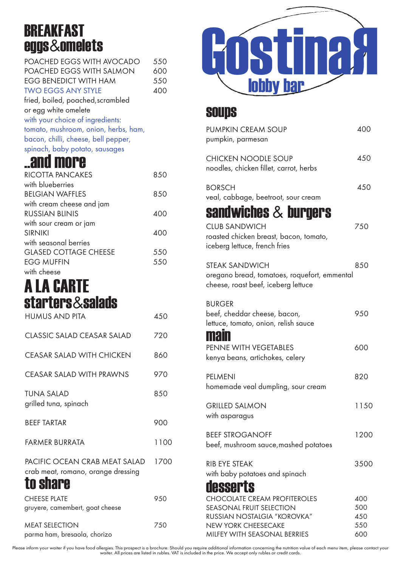## **BREAKFAST** eggs&omelets

| POACHED EGGS WITH AVOCADO            | 550 |
|--------------------------------------|-----|
| POACHED EGGS WITH SALMON             | 600 |
| <b>EGG BENEDICT WITH HAM</b>         | 550 |
| <b>TWO EGGS ANY STYLE</b>            | 400 |
| fried, boiled, poached, scrambled    |     |
| or egg white omelete                 |     |
| with your choice of ingredients:     |     |
| tomato, mushroom, onion, herbs, ham, |     |
| bacon, chilli, cheese, bell pepper,  |     |
| spinach, baby potato, sausages       |     |

## ..and more

| RICOTTA PANCAKES             | 8.50 |
|------------------------------|------|
| with blueberries             |      |
| <b>BEIGIAN WAFFIES</b>       | 850  |
| with cream cheese and jam    |      |
| <b>RUSSIAN BLINIS</b>        | 400  |
| with sour cream or jam       |      |
| <b>SIRNIKI</b>               | 400  |
| with seasonal berries        |      |
| <b>GLASED COTTAGE CHEESE</b> | 550  |
| <b>EGG MUFFIN</b>            | 550  |
| with cheese                  |      |

## starters&salads A LA CARTE

| <b>HUMUS AND PITA</b>                                                           | 450  |
|---------------------------------------------------------------------------------|------|
| CLASSIC SALAD CEASAR SALAD                                                      | 720  |
| <b>CEASAR SALAD WITH CHICKEN</b>                                                | 860  |
| <b>CEASAR SALAD WITH PRAWNS</b>                                                 | 970  |
| TUNA SALAD<br>grilled tuna, spinach                                             | 850  |
| <b>BEEF TARTAR</b>                                                              | 900  |
| FARMER BURRATA                                                                  | 1100 |
| PACIFIC OCEAN CRAB MEAT SALAD<br>crab meat, romano, orange dressing<br>to share | 1700 |
| <b>CHEESE PLATE</b><br>gruyere, camembert, goat cheese                          | 950  |
| <b>MEAT SELECTION</b><br>parma ham, bresaola, chorizo                           | 750  |



## soups

| <b>PUMPKIN CREAM SOUP</b><br>pumpkin, parmesan                                                                                                                      | 400                             |
|---------------------------------------------------------------------------------------------------------------------------------------------------------------------|---------------------------------|
| <b>CHICKEN NOODLE SOUP</b><br>noodles, chicken fillet, carrot, herbs                                                                                                | 450                             |
| <b>BORSCH</b><br>veal, cabbage, beetroot, sour cream                                                                                                                | 450                             |
| sandwiches $\&$ burgers<br><b>CLUB SANDWICH</b><br>roasted chicken breast, bacon, tomato,<br>iceberg lettuce, french fries                                          | 750                             |
| <b>STEAK SANDWICH</b><br>oregano bread, tomatoes, roquefort, emmental<br>cheese, roast beef, iceberg lettuce                                                        | 850                             |
| <b>BURGER</b><br>beef, cheddar cheese, bacon,<br>lettuce, tomato, onion, relish sauce<br><b>main</b>                                                                | 950                             |
| PENNE WITH VEGETABLES<br>kenya beans, artichokes, celery                                                                                                            | 600                             |
| PELMENI<br>homemade veal dumpling, sour cream                                                                                                                       | 820                             |
| <b>GRILLED SALMON</b><br>with asparagus                                                                                                                             | 1150                            |
| <b>BEEF STROGANOFF</b><br>beef, mushroom sauce, mashed potatoes                                                                                                     | 1200                            |
| <b>RIB EYE STEAK</b><br>with baby potatoes and spinach<br>desserts                                                                                                  | 3500                            |
| <b>CHOCOLATE CREAM PROFITEROLES</b><br><b>SEASONAL FRUIT SELECTION</b><br>RUSSIAN NOSTALGIA "KOROVKA"<br><b>NEW YORK CHEESECAKE</b><br>MILFEY WITH SEASONAL BERRIES | 400<br>500<br>450<br>550<br>600 |

Please inform your waiter if you have food allergies. This prospect is a brochure. Should you require additional information concerning the nutrition value of each menu item, please contact your<br>waiter. All prices are list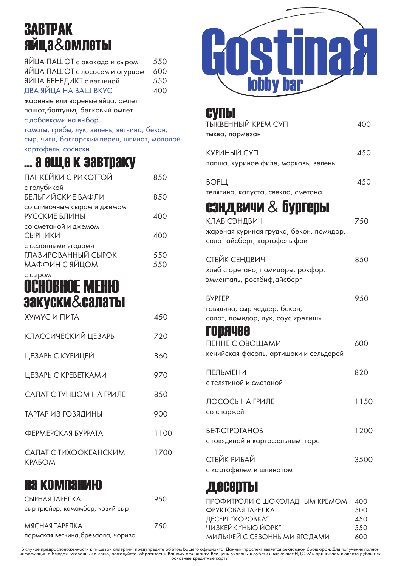## ЗАВТРАК яйца&омлеты

| ЯЙЦА ПАШОТ с авокадо и сыром    | 550 |
|---------------------------------|-----|
| ЯЙЦА ПАШОТ с лососем и огурцом  | 600 |
| ЯЙЦА БЕНЕДИКТ с ветчиной        | 550 |
| ДВА ЯЙЦА НА ВАШ ВКУС            | 400 |
| жареные или вареные яйца, омлет |     |

пашот,болтунья, белковый омлет

с добавками на выбор

томаты, грибы, лук, зелень, ветчина, бекон, сыр, чили, болгарский перец, шпинат, молодой картофель, сосиски

## ... а еще к завтраку

| ПАНКЕЙКИ С РИКОТТОЙ                                          | 850        |
|--------------------------------------------------------------|------------|
| с голубикой<br>БЕЛЬГИЙСКИЕ ВАФЛИ                             | 850        |
| со сливочным сыром и джемом<br>РУССКИЕ БЛИНЫ                 | 400        |
| со сметаной и джемом<br><b>СЫРНИКИ</b>                       | 400        |
| с сезонными ягодами<br>ГЛАЗИРОВАННЫЙ СЫРОК<br>МАФФИН С ЯЙЦОМ | 550<br>550 |
|                                                              |            |

### с сыром закуски&салаты ОСНОВНОЕ МЕНЮ

| ХУМУС И ПИТА                    | 450  |
|---------------------------------|------|
| КЛАССИЧЕСКИЙ ЦЕЗАРЬ             | 720  |
| ЦЕЗАРЬ С КУРИЦЕЙ                | 860  |
| ЦЕЗАРЬ С КРЕВЕТКАМИ             | 970  |
| САЛАТ С ТУНЦОМ НА ГРИЛЕ         | 850  |
| ТАРТАР ИЗ ГОВЯДИНЫ              | 900  |
| ФЕРМЕРСКАЯ БУРРАТА              | 1100 |
| САЛАТ С ТИХООКЕАНСКИМ<br>KPAFOM | 1700 |

## на компанию

| СЫРНАЯ ТАРЕЛКА                     | 950 |
|------------------------------------|-----|
| сыр грюйер, камамбер, козий сыр    |     |
| МЯСНАЯ ТАРЕЛКА                     | 750 |
| пармская ветчина, брезаола, чоризо |     |



| СУПЫ<br>ТЫКВЕННЫЙ КРЕМ СУП<br>тыква, пармезан                                                                 | 400  |
|---------------------------------------------------------------------------------------------------------------|------|
| КУРИНЫЙ СУП<br>лапша, куриное филе, морковь, зелень                                                           | 450  |
| <b>БОРЩ</b><br>телятина, капуста, свекла, сметана                                                             | 450  |
| сэндвичи & бургеры<br>КЛАБ СЭНДВИЧ<br>жареная куриная грудка, бекон, помидор,<br>салат айсберг, картофель фри | 750  |
| СТЕЙК СЕНДВИЧ<br>хлеб с орегано, помидоры, рокфор,<br>эмменталь, ростбиф,айсберг                              | 850  |
| <b>БУРГЕР</b><br>говядина, сыр чеддер, бекон,<br>салат, помидор, лук, соус «релиш»<br>ГОДЯЧЕЕ                 | 950  |
| ПЕННЕ С ОВОЩАМИ<br>кенийская фасоль, артишоки и сельдерей                                                     | 600  |
| <b>ПЕЛЬМЕНИ</b><br>с телятиной и сметаной                                                                     | 820  |
| ЛОСОСЬ НА ГРИЛЕ<br>со спаржей                                                                                 | 1150 |
| <b>БЕФСТРОГАНОВ</b><br>с говядиной и картофельным пюре                                                        | 1200 |
| СТЕЙК РИБАЙ<br>с картофелем и шпинатом                                                                        | 3500 |

## десерты

| ПРОФИТРОЛИ С ШОКОЛАДНЫМ КРЕМОМ | 400 |
|--------------------------------|-----|
| ФРУКТОВАЯ ТАРЕЛКА              | 500 |
| ДЕСЕРТ "КОРОВКА"               | 450 |
| ЧИЗКЕЙК "НЬЮ ЙОРК"             | 550 |
| МИЛЬФЕЙ С СЕЗОННЫМИ ЯГОДАМИ    | 600 |

В случае предрасположенности к пищевой аллергии, предупредите об этом Вашего официанта. Данный проспект является рекламной брошюрой. Для получения полной<br>информации о блюдах, указанных в меню, пожалуйста, обратитесь к Ваш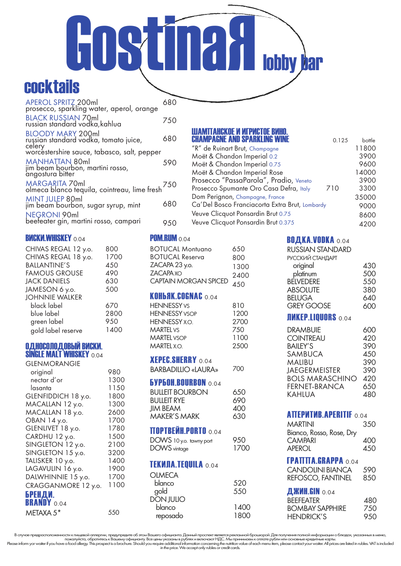# cocktails GOSTINGH<sub>obby</sub> bar

| APEROL SPRITZ 200ml<br>prosecco, sparkling water, aperol, orange            | 680 |
|-----------------------------------------------------------------------------|-----|
| BLACK RUSSIAN 70ml<br>russian standard vodka, kahlua                        | 750 |
| <b>BLOODY MARY 200ml</b><br>russian standard vodka, tomato juice,<br>celery | 680 |
| worcestershire sauce, tabasco, salt, pepper                                 |     |
| MANHATTAN 80ml<br>jim beam bourbon, martini rosso,<br>angostura bitter      | 590 |
| MARGARITA 70ml<br>olmeca blanco tequila, cointreau, lime fresh 750          |     |
| <b>MINT JULEP 80ml</b><br>jim beam bourbon, sugar syrup, mint               | 680 |
| <b>NEGRONI 90ml</b><br>beefeater gin, martini rosso, campari                | 950 |
|                                                                             |     |

#### **ВИСКИ.WHISKEY 0.04**

| CHIVAS REGAL 12 y.o.  | 800  |
|-----------------------|------|
| CHIVAS REGAL 18 y.o.  | 1700 |
| <b>BALLANTINE'S</b>   | 450  |
| <b>FAMOUS GROUSE</b>  | 490  |
| <b>JACK DANIELS</b>   | 630  |
| JAMESON 6 y.o.        | 500  |
| <b>JOHNNIE WALKER</b> |      |
| black label           | 670  |
| blue label            | 2800 |
| green label           | 950  |
| gold label reserve    | 1400 |
|                       |      |

#### ОДНОСОЛОДОВЫЙ ВИСКИ. **SINGLE MALT WHISKEY 0.04**

| <b>GLENMORANGIE</b> |      |
|---------------------|------|
| original            | 980  |
| nectar d'or         | 1300 |
| lasanta             | 1150 |
| GLENFIDDICH 18 y.o. | 1800 |
| MACALLAN 12 y.o.    | 1300 |
| MACALLAN 18 y.o.    | 2600 |
| OBAN 14 y.o.        | 1700 |
| GLENLIVET 18 y.o.   | 1780 |
| CARDHU 12 y.o.      | 1500 |
| SINGLETON 12 y.o.   | 2100 |
| SINGLETON 15 y.o.   | 3200 |
| TALISKER 10 y.o.    | 1400 |
| LAGAVULIN 16 y.o.   | 1900 |
| DALWHINNIE 15 y.o.  | 1700 |
| CRAGGANMORE 12 y.o. | 1100 |
| БРЕНДИ.             |      |
| <b>BRANDY 0.04</b>  |      |
| METAXA 5*           | 550  |

## ШАМПАНСКОЕ И ИГРИСТОЕ ВИНО. CHAMPAGNE AND SPARKLING WINE 0.125 bottle

| "R" de Ruinart Brut, Champagne                  | 11800 |
|-------------------------------------------------|-------|
| Moët & Chandon Imperial 0.2                     | 3900  |
| Moët & Chandon Imperial 0.75                    | 9600  |
| Moët & Chandon Imperial Rose                    | 14000 |
| Prosecco "PassaParola", Pradio, Veneto          | 3900  |
| Prosecco Spumante Oro Casa Defra, Italy<br>710  | 3300  |
| Dom Perignon, Champagne, France                 | 35000 |
| Ca' Del Bosco Franciacorta Extra Brut, Lombardy | 9000  |
| Veuve Clicquot Ponsardin Brut 0.75              | 8600  |
| Veuve Clicquot Ponsardin Brut 0.375             | 4200  |
|                                                 |       |

#### **POM.RUM**  $_{0.04}$

| <b>BOTUCAL Montuano</b><br><b>BOTUCAL Reserva</b><br>ZACAPA 23 y.o.<br><b>ZACAPA XO</b><br><b>CAPTAIN MORGAN SPICED</b> | 650<br>800<br>1300<br>2400<br>450  |
|-------------------------------------------------------------------------------------------------------------------------|------------------------------------|
| KOHbAK.COGNAC 0.04                                                                                                      |                                    |
| <b>HENNESSY vs</b><br><b>HENNESSY VSOP</b><br><b>HENNESSY X.O.</b><br><b>MARTEL VS</b><br><b>MARTEL VSOP</b>            | 810<br>1200<br>2700<br>750<br>1100 |
| <b>MARTFI XO</b>                                                                                                        | 2500                               |
| <b>XEPEC.SHERRY</b> 0.04<br><b>BARBADILLIO «LAURA»</b>                                                                  | 700                                |
| <b>6yp60H.BOURBON</b> 0.04<br><b>BULLEIT BOURBON</b><br><b>BULLEIT RYE</b><br><b>JIM BEAM</b><br><b>MAKER'S MARK</b>    | 650<br>690<br>400<br>630           |
| П <b>ортвейн.porto</b> 0.04<br>DOWS 10 y.o. tawny port<br><b>DOWS</b> vintage                                           | 950<br>1700                        |
| <b>TEKHJIA.TEQUILA 0.04</b>                                                                                             |                                    |
| <b>OLMECA</b><br>blanco<br>gold<br>DÖN JULIO                                                                            | 520<br>550                         |
| blanco<br>reposado                                                                                                      | 1400<br>1800                       |

#### ВОДКА.VODKA 0.04

| RUSSIAN STANDARD  |     |
|-------------------|-----|
| РУССКИЙ СТАНДАРТ  |     |
| original          | 430 |
| platinum          | 500 |
| <b>BELVEDERE</b>  | 550 |
| <b>ABSOLUTE</b>   | 380 |
| <b>BELUGA</b>     | 640 |
| <b>GREY GOOSE</b> | 600 |
|                   |     |

#### **ЛИКЕР.LIQUORS** 0.04

| DRAMBUIF               | 600 |
|------------------------|-----|
| <b>COINTREAU</b>       | 420 |
| <b>BAILEY'S</b>        | 390 |
| <b>SAMBUCA</b>         | 450 |
| MALIBU                 | 390 |
| <b>JAEGERMEISTER</b>   | 390 |
| <b>BOLS MARASCHINO</b> | 420 |
| <b>FERNET-BRANCA</b>   | 650 |
| KAHLUA                 | 480 |
|                        |     |

#### **АПЕРИТИВ. APERITIF 0.04**

| <b>MARTINI</b><br>Bianco, Rosso, Rose, Dry | 350        |
|--------------------------------------------|------------|
| <b>CAMPARI</b><br>APEROL                   | 400<br>450 |
| <b>FPATITA.GRAPPA</b> 0.04                 |            |

#### CANDOLINI BIANCA REFOSCO, FANTINEL 590 850

#### **ДЖИН.GIN 0.04**

| <b>BFFFFATFR</b>       | 480  |
|------------------------|------|
| <b>BOMBAY SAPPHIRE</b> | 750  |
| <b>HENDRICK'S</b>      | 9.50 |

В случае предрасположенности к пищевой аллергии, предупредите об этом Вашего официанта. Данный проспект является рекламной брошюрой. Для получения полной информации о блюдах, указанных в меню,<br>пожалуйста, обратитесь к Ваш